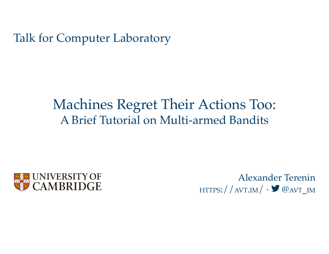Talk for Computer Laboratory

# A Brief Tutorial on Multi-armed Bandits Machines Regret Their Actions Too:



Alexander Terenin  $HTTPS: // AVT.IM/  $\cdot$  **@**AVT_IM$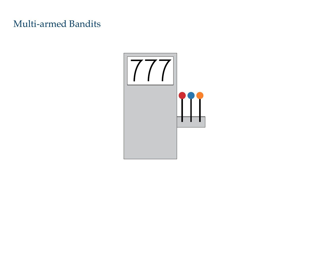### Multi-armed Bandits

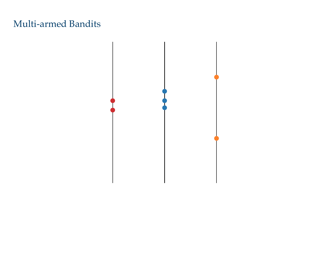### Multi-armed Bandits

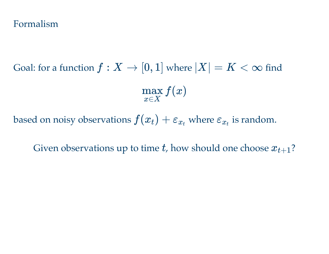#### Formalism

Goal: for a function  $f: X \to [0,1]$  where  $|X| = K < \infty$  find *f*(*x*) *x*∈*X* max

based on noisy observations  $f(x_t) + \varepsilon_{x_t}$  where  $\varepsilon_{x_t}$  is random.

Given observations up to time *t*, how should one choose  $x_{t+1}$ ?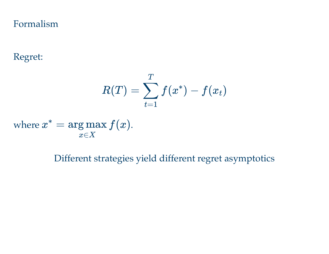Formalism

Regret:

$$
R(T) = \sum_{t=1}^T f(x^*) - f(x_t)
$$

where  $x^* = \arg \max f(x)$ . *x*∈*X*

Different strategies yield different regret asymptotics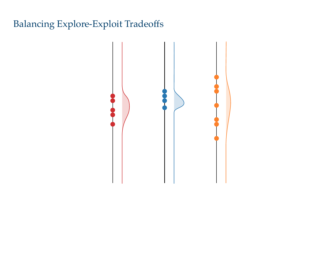# Balancing Explore-Exploit Tradeoffs

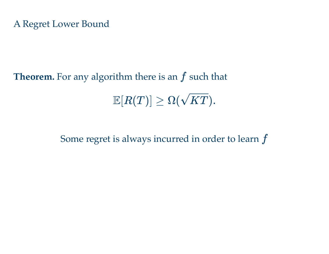**Theorem.** For any algorithm there is an *f* such that  $\mathbb{E}[R(T)] \geq \Omega(\sqrt{KT}).$ 

Some regret is always incurred in order to learn *f*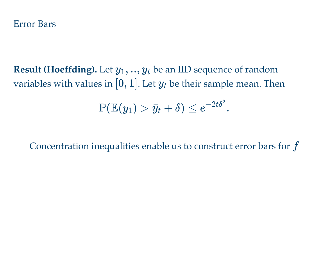**Result (Hoeffding).** Let  $y_1, ..., y_t$  be an IID sequence of random variables with values in  $[0,1]$ . Let  $\bar{y}_t$  be their sample mean. Then

$$
\mathbb{P}(\mathbb{E}(y_1) > \bar{y}_t + \delta) \leq e^{-2t\delta^2}.
$$

Concentration inequalities enable us to construct error bars for *f*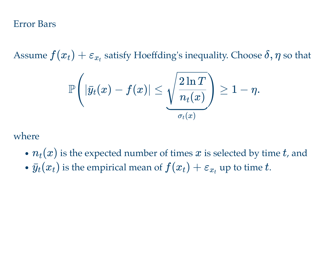Error Bars

Assume  $f(x_t) + \varepsilon_{x_t}$  satisfy Hoeffding's inequality. Choose  $\delta, \eta$  so that

$$
\mathbb{P}\Bigg(|\bar{y}_t(x)-f(x)|\leq \sqrt{\frac{2\ln T}{n_t(x)}}\Bigg)\geq 1-\eta.
$$

where

- $n_t(x)$  is the expected number of times  $x$  is selected by time  $t$ , and
- $\bar{y}_t(x_t)$  is the empirical mean of  $f(x_t) + \varepsilon_{x_t}$  up to time t.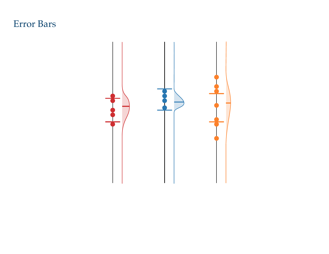#### Error Bars

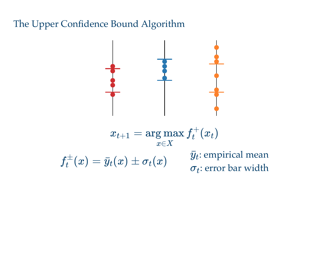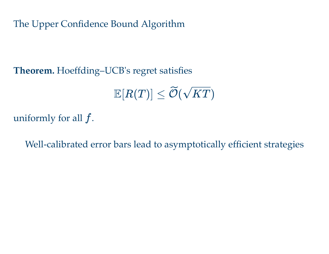**Theorem.** Hoeffding–UCB's regret satisfies

 $\mathbb{E}[R(T)] \leq \widetilde{\mathcal{O}}(\sqrt{KT})$ 

uniformly for all *f*.

Well-calibrated error bars lead to asymptotically efficient strategies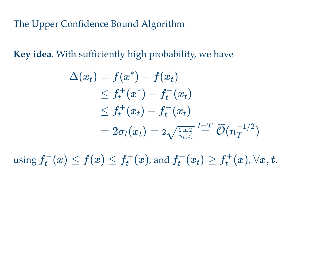**Key idea.** With sufficiently high probability, we have

$$
\begin{aligned} \Delta(x_t) &= f(x^*) - f(x_t) \\ &\leq f_t^+(x^*) - f_t^-(x_t) \\ &\leq f_t^+(x_t) - f_t^-(x_t) \\ &= 2\sigma_t(x_t) = \imath \sqrt{\frac{\imath \ln T}{n_t(x)}} \stackrel{t = T}{=} \widetilde{\mathcal{O}}(n_T^{-1/2}) \end{aligned}
$$

 $\text{using } f_t^-(x) \leq f(x) \leq f_t^+(x)$ , and  $f_t^+(x_t) \geq f_t^+(x)$ ,  $\forall x,t.$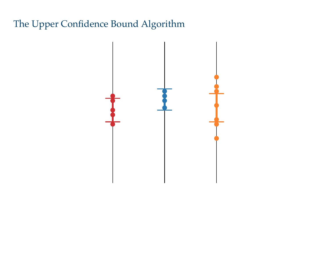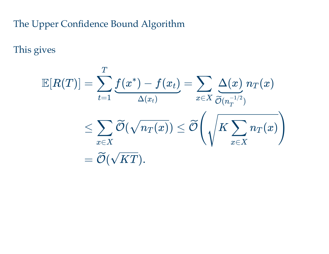This gives

$$
\mathbb{E}[R(T)] = \sum_{t=1}^T \underbrace{f(x^*) - f(x_t)}_{\Delta(x_t)} = \sum_{x \in X} \underbrace{\Delta(x)}_{\widetilde{\mathcal{O}}(n_T^{-1/2})} n_T(x) \\ \leq \sum_{x \in X} \widetilde{\mathcal{O}}(\sqrt{n_T(x)}) \leq \widetilde{\mathcal{O}}\Bigg(\sqrt{K \sum_{x \in X} n_T(x)}\Bigg) \\ = \widetilde{\mathcal{O}}(\sqrt{KT}).
$$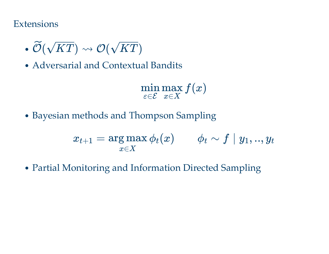#### **Extensions**

- $\bullet \ \widetilde{\mathcal{O}}(\sqrt{KT}) \rightsquigarrow \mathcal{O}(\sqrt{KT})$
- Adversarial and Contextual Bandits

*f*(*x*) *ε*∈E min *x*∈*X* max

• Bayesian methods and Thompson Sampling

$$
x_{t+1} = \argmax_{x \in X} \phi_t(x) \qquad \phi_t \sim f \mid y_1,..,y_t
$$

Partial Monitoring and Information Directed Sampling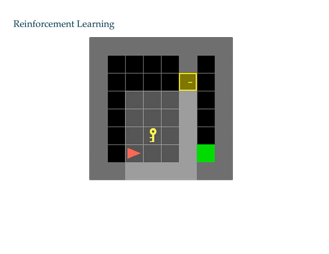# Reinforcement Learning

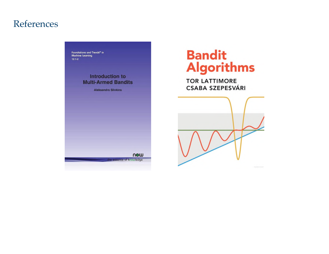#### References

Foundations and Trends® in<br>Machine Learning  $12:1-2$ 

> Introduction to **Multi-Armed Bandits**

> > **Aleksandrs Slivkins**

now

nce of knowledge

# **Bandit<br>Algorithms**

**TOR LATTIMORE CSABA SZEPESVÁRI**